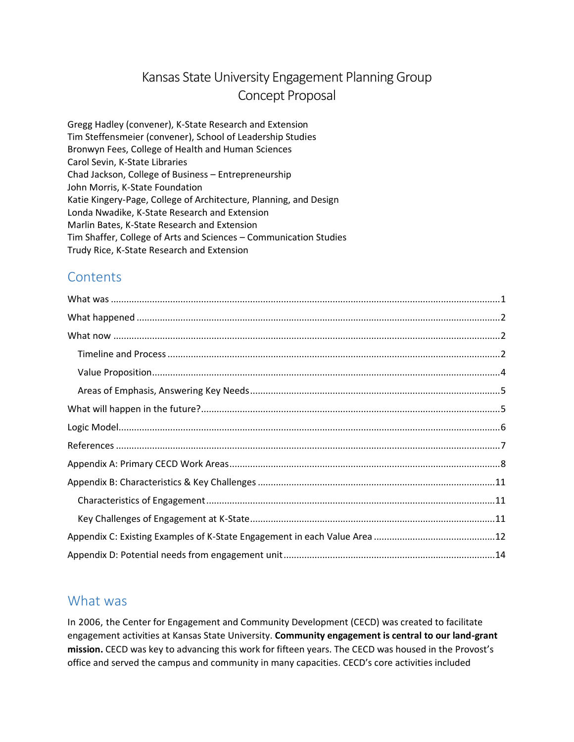# Kansas State University Engagement Planning Group Concept Proposal

Gregg Hadley (convener), K-State Research and Extension Tim Steffensmeier (convener), School of Leadership Studies Bronwyn Fees, College of Health and Human Sciences Carol Sevin, K-State Libraries Chad Jackson, College of Business – Entrepreneurship John Morris, K-State Foundation Katie Kingery-Page, College of Architecture, Planning, and Design Londa Nwadike, K-State Research and Extension Marlin Bates, K-State Research and Extension Tim Shaffer, College of Arts and Sciences – Communication Studies Trudy Rice, K-State Research and Extension

## **Contents**

## <span id="page-0-0"></span>What was

In 2006, the Center for Engagement and Community Development (CECD) was created to facilitate engagement activities at Kansas State University. **Community engagement is central to our land-grant mission.** CECD was key to advancing this work for fifteen years. The CECD was housed in the Provost's office and served the campus and community in many capacities. CECD's core activities included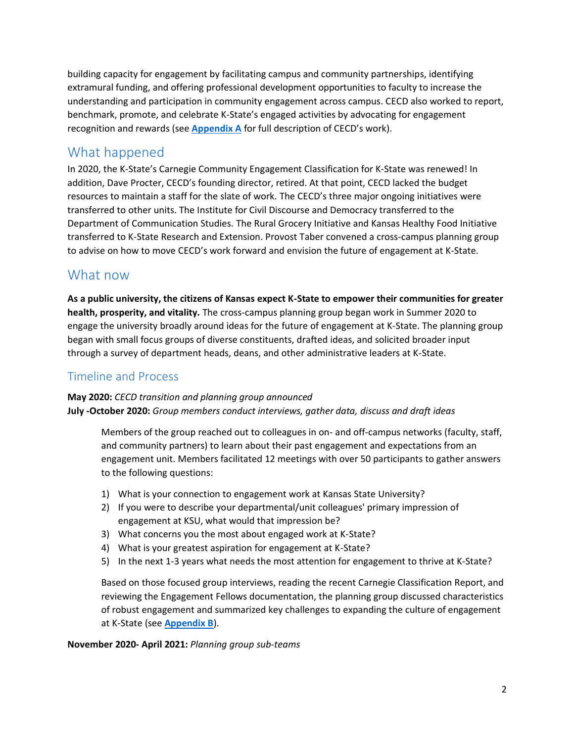building capacity for engagement by facilitating campus and community partnerships, identifying extramural funding, and offering professional development opportunities to faculty to increase the understanding and participation in community engagement across campus. CECD also worked to report, benchmark, promote, and celebrate K-State's engaged activities by advocating for engagement recognition and rewards (see **[Appendix A](#page-7-0)** for full description of CECD's work).

## <span id="page-1-0"></span>What happened

In 2020, the K-State's Carnegie Community Engagement Classification for K-State was renewed! In addition, Dave Procter, CECD's founding director, retired. At that point, CECD lacked the budget resources to maintain a staff for the slate of work. The CECD's three major ongoing initiatives were transferred to other units. The Institute for Civil Discourse and Democracy transferred to the Department of Communication Studies. The Rural Grocery Initiative and Kansas Healthy Food Initiative transferred to K-State Research and Extension. Provost Taber convened a cross-campus planning group to advise on how to move CECD's work forward and envision the future of engagement at K-State.

## <span id="page-1-1"></span>What now

**As a public university, the citizens of Kansas expect K-State to empower their communities for greater health, prosperity, and vitality.** The cross-campus planning group began work in Summer 2020 to engage the university broadly around ideas for the future of engagement at K-State. The planning group began with small focus groups of diverse constituents, drafted ideas, and solicited broader input through a survey of department heads, deans, and other administrative leaders at K-State.

### <span id="page-1-2"></span>Timeline and Process

**May 2020:** *CECD transition and planning group announced* **July -October 2020:** *Group members conduct interviews, gather data, discuss and draft ideas*

Members of the group reached out to colleagues in on- and off-campus networks (faculty, staff, and community partners) to learn about their past engagement and expectations from an engagement unit. Members facilitated 12 meetings with over 50 participants to gather answers to the following questions:

- 1) What is your connection to engagement work at Kansas State University?
- 2) If you were to describe your departmental/unit colleagues' primary impression of engagement at KSU, what would that impression be?
- 3) What concerns you the most about engaged work at K-State?
- 4) What is your greatest aspiration for engagement at K-State?
- 5) In the next 1-3 years what needs the most attention for engagement to thrive at K-State?

Based on those focused group interviews, reading the recent Carnegie Classification Report, and reviewing the Engagement Fellows documentation, the planning group discussed characteristics of robust engagement and summarized key challenges to expanding the culture of engagement at K-State (see **[Appendix B](#page-10-0)**).

**November 2020- April 2021:** *Planning group sub-teams*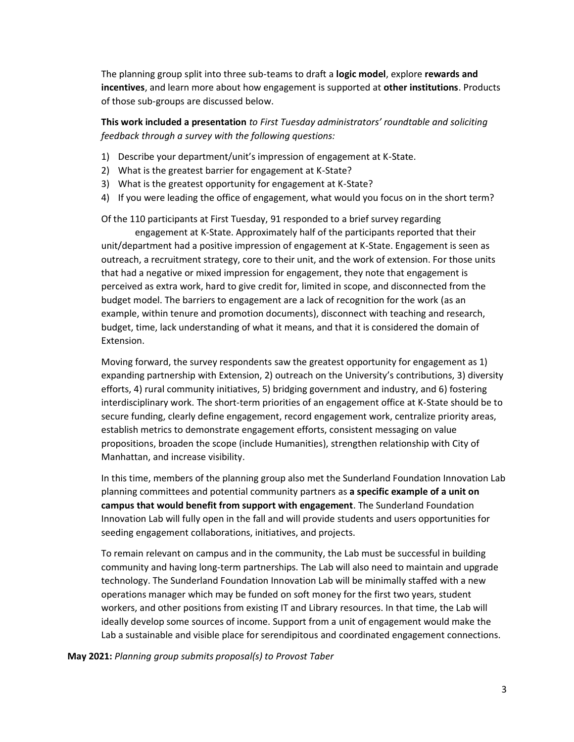The planning group split into three sub-teams to draft a **logic model**, explore **rewards and incentives**, and learn more about how engagement is supported at **other institutions**. Products of those sub-groups are discussed below.

**This work included a presentation** *to First Tuesday administrators' roundtable and soliciting feedback through a survey with the following questions:*

- 1) Describe your department/unit's impression of engagement at K-State.
- 2) What is the greatest barrier for engagement at K-State?
- 3) What is the greatest opportunity for engagement at K-State?
- 4) If you were leading the office of engagement, what would you focus on in the short term?

Of the 110 participants at First Tuesday, 91 responded to a brief survey regarding

engagement at K-State. Approximately half of the participants reported that their unit/department had a positive impression of engagement at K-State. Engagement is seen as outreach, a recruitment strategy, core to their unit, and the work of extension. For those units that had a negative or mixed impression for engagement, they note that engagement is perceived as extra work, hard to give credit for, limited in scope, and disconnected from the budget model. The barriers to engagement are a lack of recognition for the work (as an example, within tenure and promotion documents), disconnect with teaching and research, budget, time, lack understanding of what it means, and that it is considered the domain of Extension.

Moving forward, the survey respondents saw the greatest opportunity for engagement as 1) expanding partnership with Extension, 2) outreach on the University's contributions, 3) diversity efforts, 4) rural community initiatives, 5) bridging government and industry, and 6) fostering interdisciplinary work. The short-term priorities of an engagement office at K-State should be to secure funding, clearly define engagement, record engagement work, centralize priority areas, establish metrics to demonstrate engagement efforts, consistent messaging on value propositions, broaden the scope (include Humanities), strengthen relationship with City of Manhattan, and increase visibility.

In this time, members of the planning group also met the Sunderland Foundation Innovation Lab planning committees and potential community partners as **a specific example of a unit on campus that would benefit from support with engagement**. The Sunderland Foundation Innovation Lab will fully open in the fall and will provide students and users opportunities for seeding engagement collaborations, initiatives, and projects.

To remain relevant on campus and in the community, the Lab must be successful in building community and having long-term partnerships. The Lab will also need to maintain and upgrade technology. The Sunderland Foundation Innovation Lab will be minimally staffed with a new operations manager which may be funded on soft money for the first two years, student workers, and other positions from existing IT and Library resources. In that time, the Lab will ideally develop some sources of income. Support from a unit of engagement would make the Lab a sustainable and visible place for serendipitous and coordinated engagement connections.

**May 2021:** *Planning group submits proposal(s) to Provost Taber*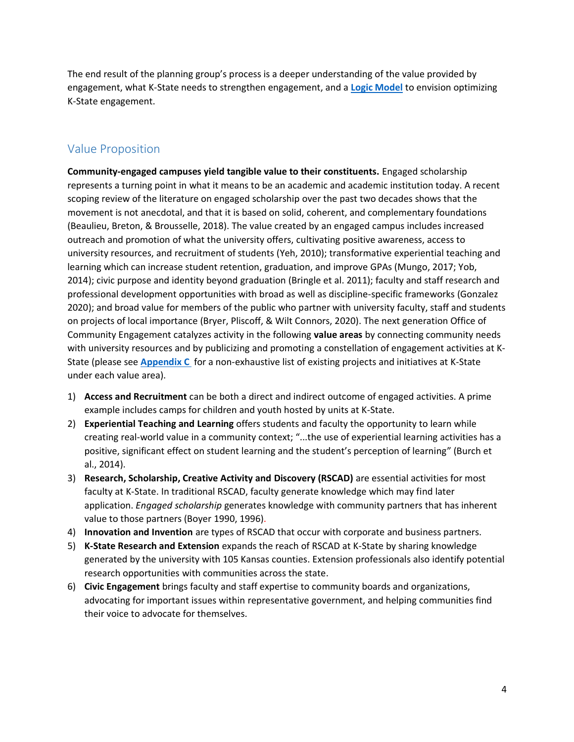The end result of the planning group's process is a deeper understanding of the value provided by engagement, what K-State needs to strengthen engagement, and a **[Logic Model](#page-5-0)** to envision optimizing K-State engagement.

### <span id="page-3-0"></span>Value Proposition

**Community-engaged campuses yield tangible value to their constituents.** Engaged scholarship represents a turning point in what it means to be an academic and academic institution today. A recent scoping review of the literature on engaged scholarship over the past two decades shows that the movement is not anecdotal, and that it is based on solid, coherent, and complementary foundations (Beaulieu, Breton, & Brousselle, 2018). The value created by an engaged campus includes increased outreach and promotion of what the university offers, cultivating positive awareness, access to university resources, and recruitment of students (Yeh, 2010); transformative experiential teaching and learning which can increase student retention, graduation, and improve GPAs (Mungo, 2017; Yob, 2014); civic purpose and identity beyond graduation (Bringle et al. 2011); faculty and staff research and professional development opportunities with broad as well as discipline-specific frameworks (Gonzalez 2020); and broad value for members of the public who partner with university faculty, staff and students on projects of local importance (Bryer, Pliscoff, & Wilt Connors, 2020). The next generation Office of Community Engagement catalyzes activity in the following **value areas** by connecting community needs with university resources and by publicizing and promoting a constellation of engagement activities at K-State (please see **Appendix C** for a non-exhaustive list of existing projects and initiatives at K-State under each value area).

- 1) **Access and Recruitment** can be both a direct and indirect outcome of engaged activities. A prime example includes camps for children and youth hosted by units at K-State.
- 2) **Experiential Teaching and Learning** offers students and faculty the opportunity to learn while creating real-world value in a community context; "...the use of experiential learning activities has a positive, significant effect on student learning and the student's perception of learning" (Burch et al., 2014).
- 3) **Research, Scholarship, Creative Activity and Discovery (RSCAD)** are essential activities for most faculty at K-State. In traditional RSCAD, faculty generate knowledge which may find later application. *Engaged scholarship* generates knowledge with community partners that has inherent value to those partners (Boyer 1990, 1996).
- 4) **Innovation and Invention** are types of RSCAD that occur with corporate and business partners.
- 5) **K-State Research and Extension** expands the reach of RSCAD at K-State by sharing knowledge generated by the university with 105 Kansas counties. Extension professionals also identify potential research opportunities with communities across the state.
- 6) **Civic Engagement** brings faculty and staff expertise to community boards and organizations, advocating for important issues within representative government, and helping communities find their voice to advocate for themselves.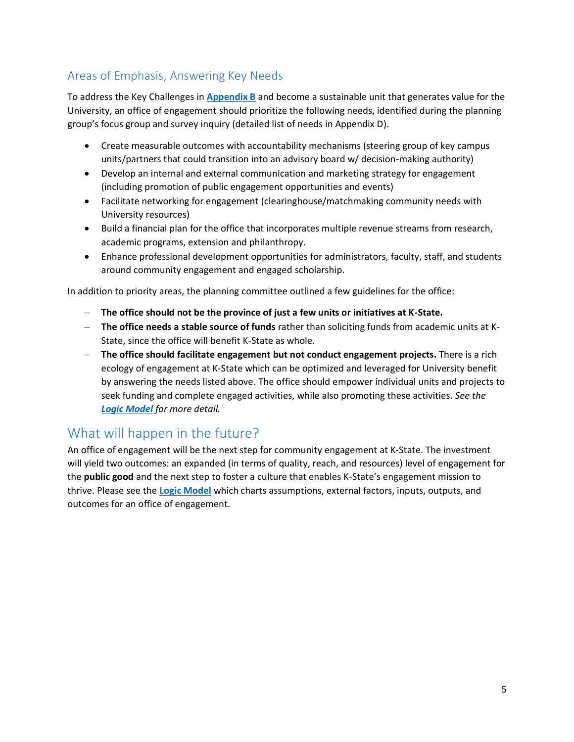## <span id="page-4-0"></span>Areas of Emphasis, Answering Key Needs

To address the Key Challenges in **[Appendix B](#page-10-0)** and become a sustainable unit that generates value for the University, an office of engagement should prioritize the following needs, identified during the planning group's focus group and survey inquiry (detailed list of needs in Appendix D).

- Create measurable outcomes with accountability mechanisms (steering group of key campus units/partners that could transition into an advisory board w/ decision-making authority)
- Develop an internal and external communication and marketing strategy for engagement (including promotion of public engagement opportunities and events)
- Facilitate networking for engagement (clearinghouse/matchmaking community needs with University resources)
- Build a financial plan for the office that incorporates multiple revenue streams from research, academic programs, extension and philanthropy.
- Enhance professional development opportunities for administrators, faculty, staff, and students around community engagement and engaged scholarship.

In addition to priority areas, the planning committee outlined a few guidelines for the office:

- − **The office should not be the province of just a few units or initiatives at K-State.**
- − **The office needs a stable source of funds** rather than soliciting funds from academic units at K-State, since the office will benefit K-State as whole.
- − **The office should facilitate engagement but not conduct engagement projects.** There is a rich ecology of engagement at K-State which can be optimized and leveraged for University benefit by answering the needs listed above. The office should empower individual units and projects to seek funding and complete engaged activities, while also promoting these activities. *See the [Logic Model](#page-5-0) for more detail.*

## <span id="page-4-1"></span>What will happen in the future?

An office of engagement will be the next step for community engagement at K-State. The investment will yield two outcomes: an expanded (in terms of quality, reach, and resources) level of engagement for the **public good** and the next step to foster a culture that enables K-State's engagement mission to thrive. Please see the **[Logic Model](#page-5-0)** which charts assumptions, external factors, inputs, outputs, and outcomes for an office of engagement.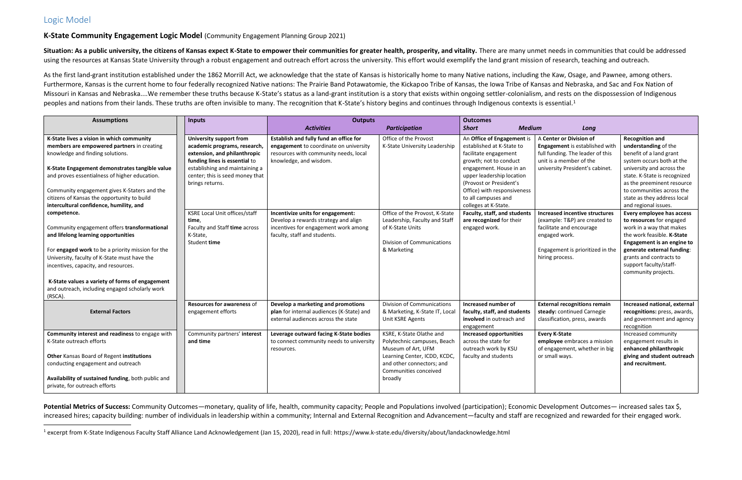## <span id="page-5-0"></span>Logic Model

### **K-State Community Engagement Logic Model** (Community Engagement Planning Group 2021)

Situation: As a public university, the citizens of Kansas expect K-State to empower their communities for greater health, prosperity, and vitality. There are many unmet needs in communities that could be addressed using the resources at Kansas State University through a robust engagement and outreach effort across the university. This effort would exemplify the land grant mission of research, teaching and outreach.

As the first land-grant institution established under the 1862 Morrill Act, we acknowledge that the state of Kansas is historically home to many Native nations, including the Kaw, Osage, and Pawnee, among others. Furthermore, Kansas is the current home to four federally recognized Native nations: The Prairie Band Potawatomie, the Kickapoo Tribe of Kansas, the Iowa Tribe of Kansas and Nebraska, and Sac and Fox Nation of Missouri in Kansas and Nebraska....We remember these truths because K-State's status as a land-grant institution is a story that exists within ongoing settler-colonialism, and rests on the dispossession of Indigenous peoples and nations from their lands. These truths are often invisible to many. The recognition that K-State's history begins and continues through Indigenous contexts is essential.<sup>1</sup>

Potential Metrics of Success: Community Outcomes—monetary, quality of life, health, community capacity; People and Populations involved (participation); Economic Development Outcomes— increased sales tax \$, increased hires; capacity building: number of individuals in leadership within a community; Internal and External Recognition and Advancement—faculty and staff are recognized and rewarded for their engaged work.

| <b>Assumptions</b>                                                                                                                                                                             | <b>Inputs</b>                                                                                                         | <b>Outputs</b>                                                                                                            |                                                                                                                                                    | <b>Outcomes</b>                                                                                                                                                 |                                                                                                    |                                                                                                                                                                                  |
|------------------------------------------------------------------------------------------------------------------------------------------------------------------------------------------------|-----------------------------------------------------------------------------------------------------------------------|---------------------------------------------------------------------------------------------------------------------------|----------------------------------------------------------------------------------------------------------------------------------------------------|-----------------------------------------------------------------------------------------------------------------------------------------------------------------|----------------------------------------------------------------------------------------------------|----------------------------------------------------------------------------------------------------------------------------------------------------------------------------------|
|                                                                                                                                                                                                |                                                                                                                       | <b>Activities</b>                                                                                                         | <b>Participation</b>                                                                                                                               | <b>Medium</b><br><b>Short</b>                                                                                                                                   | Long                                                                                               |                                                                                                                                                                                  |
| K-State lives a vision in which community<br>members are empowered partners in creating<br>knowledge and finding solutions.                                                                    | University support from<br>academic programs, research,<br>extension, and philanthropic                               | Establish and fully fund an office for<br>engagement to coordinate on university<br>resources with community needs, local | Office of the Provost<br>K-State University Leadership                                                                                             | An Office of Engagement is<br>established at K-State to<br>facilitate engagement                                                                                | A Center or Division of<br>Engagement is established with<br>full funding. The leader of this      | <b>Recognition and</b><br>understanding of the<br>benefit of a land grant                                                                                                        |
| K-State Engagement demonstrates tangible value<br>and proves essentialness of higher education.<br>Community engagement gives K-Staters and the<br>citizens of Kansas the opportunity to build | funding lines is essential to<br>establishing and maintaining a<br>center; this is seed money that<br>brings returns. | knowledge, and wisdom.                                                                                                    |                                                                                                                                                    | growth; not to conduct<br>engagement. House in an<br>upper leadership location<br>(Provost or President's<br>Office) with responsiveness<br>to all campuses and | unit is a member of the<br>university President's cabinet.                                         | system occurs both at the<br>university and across the<br>state. K-State is recognized<br>as the preeminent resource<br>to communities across the<br>state as they address local |
| intercultural confidence, humility, and<br>competence.<br>Community engagement offers transformational                                                                                         | <b>KSRE Local Unit offices/staff</b><br>time.<br>Faculty and Staff time across                                        | Incentivize units for engagement:<br>Develop a rewards strategy and align<br>incentives for engagement work among         | Office of the Provost, K-State<br>Leadership, Faculty and Staff<br>of K-State Units                                                                | colleges at K-State.<br>Faculty, staff, and students<br>are recognized for their<br>engaged work.                                                               | <b>Increased incentive structures</b><br>(example: T&P) are created to<br>facilitate and encourage | and regional issues.<br>Every employee has access<br>to resources for engaged<br>work in a way that makes                                                                        |
| and lifelong learning opportunities<br>For engaged work to be a priority mission for the                                                                                                       | K-State,<br>Student time                                                                                              | faculty, staff and students.                                                                                              | <b>Division of Communications</b><br>& Marketing                                                                                                   |                                                                                                                                                                 | engaged work.<br>Engagement is prioritized in the                                                  | the work feasible. K-State<br>Engagement is an engine to<br>generate external funding:                                                                                           |
| University, faculty of K-State must have the<br>incentives, capacity, and resources.                                                                                                           |                                                                                                                       |                                                                                                                           |                                                                                                                                                    |                                                                                                                                                                 | hiring process.                                                                                    | grants and contracts to<br>support faculty/staff-<br>community projects.                                                                                                         |
| K-State values a variety of forms of engagement<br>and outreach, including engaged scholarly work<br>(RSCA).                                                                                   |                                                                                                                       |                                                                                                                           |                                                                                                                                                    |                                                                                                                                                                 |                                                                                                    |                                                                                                                                                                                  |
| <b>External Factors</b>                                                                                                                                                                        | <b>Resources for awareness of</b><br>engagement efforts                                                               | Develop a marketing and promotions<br>plan for internal audiences (K-State) and<br>external audiences across the state    | <b>Division of Communications</b><br>& Marketing, K-State IT, Local<br>Unit KSRE Agents                                                            | Increased number of<br>faculty, staff, and students<br>involved in outreach and<br>engagement                                                                   | <b>External recognitions remain</b><br>steady: continued Carnegie<br>classification, press, awards | Increased national, external<br>recognitions: press, awards,<br>and government and agency<br>recognition                                                                         |
| Community interest and readiness to engage with<br>K-State outreach efforts                                                                                                                    | Community partners' interest<br>and time                                                                              | Leverage outward facing K-State bodies                                                                                    | KSRE, K-State Olathe and                                                                                                                           | <b>Increased opportunities</b><br>across the state for                                                                                                          | <b>Every K-State</b>                                                                               | Increased community                                                                                                                                                              |
| Other Kansas Board of Regent institutions<br>conducting engagement and outreach<br>Availability of sustained funding, both public and<br>private, for outreach efforts                         |                                                                                                                       | to connect community needs to university<br>resources.                                                                    | Polytechnic campuses, Beach<br>Museum of Art, UFM<br>Learning Center, ICDD, KCDC,<br>and other connectors; and<br>Communities conceived<br>broadly | outreach work by KSU<br>faculty and students                                                                                                                    | employee embraces a mission<br>of engagement, whether in big<br>or small ways.                     | engagement results in<br>enhanced philanthropic<br>giving and student outreach<br>and recruitment.                                                                               |

<sup>&</sup>lt;sup>1</sup> excerpt from K-State Indigenous Faculty Staff Alliance Land Acknowledgement (Jan 15, 2020), read in full: https://www.k-state.edu/diversity/about/landacknowledge.html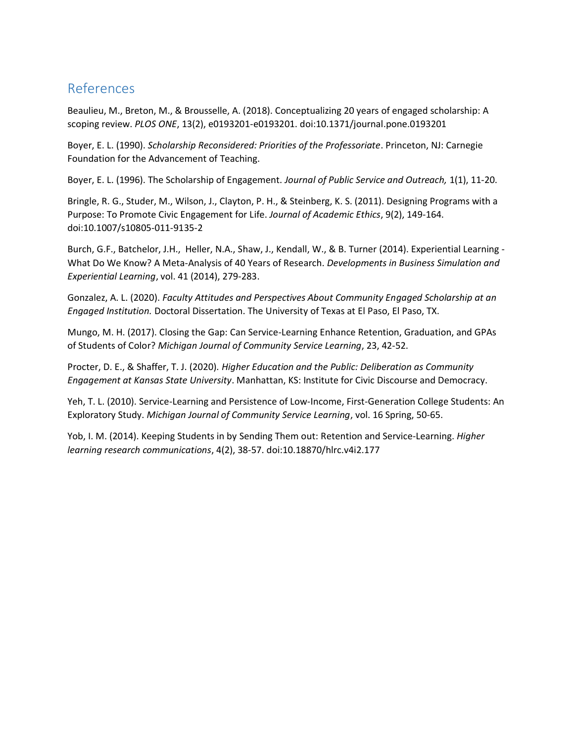## <span id="page-6-0"></span>References

Beaulieu, M., Breton, M., & Brousselle, A. (2018). Conceptualizing 20 years of engaged scholarship: A scoping review. *PLOS ONE*, 13(2), e0193201-e0193201. doi:10.1371/journal.pone.0193201

Boyer, E. L. (1990). *Scholarship Reconsidered: Priorities of the Professoriate*. Princeton, NJ: Carnegie Foundation for the Advancement of Teaching.

Boyer, E. L. (1996). The Scholarship of Engagement. *Journal of Public Service and Outreach,* 1(1), 11-20.

Bringle, R. G., Studer, M., Wilson, J., Clayton, P. H., & Steinberg, K. S. (2011). Designing Programs with a Purpose: To Promote Civic Engagement for Life. *Journal of Academic Ethics*, 9(2), 149-164. doi:10.1007/s10805-011-9135-2

Burch, G.F., Batchelor, J.H., Heller, N.A., Shaw, J., Kendall, W., & B. Turner (2014). Experiential Learning - What Do We Know? A Meta-Analysis of 40 Years of Research. *Developments in Business Simulation and Experiential Learning*, vol. 41 (2014), 279-283.

Gonzalez, A. L. (2020). *Faculty Attitudes and Perspectives About Community Engaged Scholarship at an Engaged Institution.* Doctoral Dissertation. The University of Texas at El Paso, El Paso, TX.

Mungo, M. H. (2017). Closing the Gap: Can Service-Learning Enhance Retention, Graduation, and GPAs of Students of Color? *Michigan Journal of Community Service Learning*, 23, 42-52.

Procter, D. E., & Shaffer, T. J. (2020). *Higher Education and the Public: Deliberation as Community Engagement at Kansas State University*. Manhattan, KS: Institute for Civic Discourse and Democracy.

Yeh, T. L. (2010). Service-Learning and Persistence of Low-Income, First-Generation College Students: An Exploratory Study. *Michigan Journal of Community Service Learning*, vol. 16 Spring, 50-65.

Yob, I. M. (2014). Keeping Students in by Sending Them out: Retention and Service-Learning. *Higher learning research communications*, 4(2), 38-57. doi:10.18870/hlrc.v4i2.177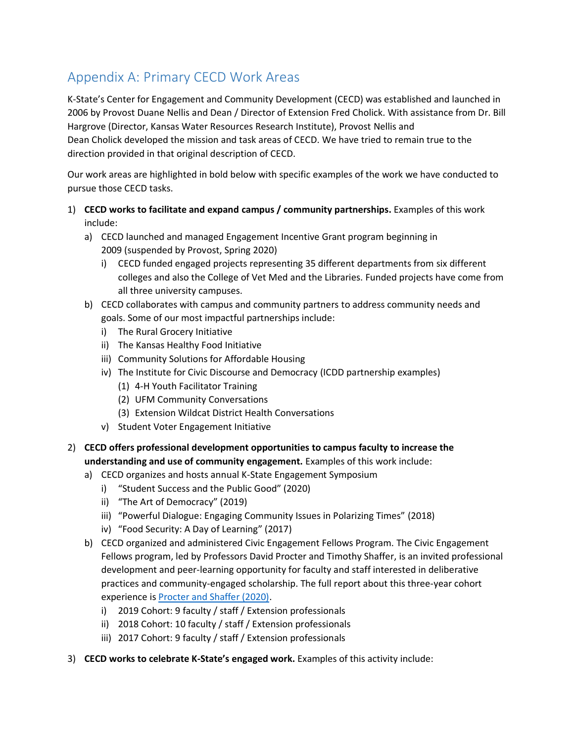# <span id="page-7-0"></span>Appendix A: Primary CECD Work Areas

K-State's Center for Engagement and Community Development (CECD) was established and launched in 2006 by Provost Duane Nellis and Dean / Director of Extension Fred Cholick. With assistance from Dr. Bill Hargrove (Director, Kansas Water Resources Research Institute), Provost Nellis and Dean Cholick developed the mission and task areas of CECD. We have tried to remain true to the direction provided in that original description of CECD.

Our work areas are highlighted in bold below with specific examples of the work we have conducted to pursue those CECD tasks.

- 1) **CECD works to facilitate and expand campus / community partnerships.** Examples of this work include:
	- a) CECD launched and managed Engagement Incentive Grant program beginning in 2009 (suspended by Provost, Spring 2020)
		- i) CECD funded engaged projects representing 35 different departments from six different colleges and also the College of Vet Med and the Libraries. Funded projects have come from all three university campuses.
	- b) CECD collaborates with campus and community partners to address community needs and goals. Some of our most impactful partnerships include:
		- i) The Rural Grocery Initiative
		- ii) The Kansas Healthy Food Initiative
		- iii) Community Solutions for Affordable Housing
		- iv) The Institute for Civic Discourse and Democracy (ICDD partnership examples)
			- (1) 4-H Youth Facilitator Training
			- (2) UFM Community Conversations
			- (3) Extension Wildcat District Health Conversations
		- v) Student Voter Engagement Initiative
- 2) **CECD offers professional development opportunities to campus faculty to increase the understanding and use of community engagement.** Examples of this work include:
	- a) CECD organizes and hosts annual K-State Engagement Symposium
		- i) "Student Success and the Public Good" (2020)
		- ii) "The Art of Democracy" (2019)
		- iii) "Powerful Dialogue: Engaging Community Issues in Polarizing Times" (2018)
		- iv) "Food Security: A Day of Learning" (2017)
	- b) CECD organized and administered Civic Engagement Fellows Program. The Civic Engagement Fellows program, led by Professors David Procter and Timothy Shaffer, is an invited professional development and peer-learning opportunity for faculty and staff interested in deliberative practices and community-engaged scholarship. The full report about this three-year cohort experience is [Procter and Shaffer \(2020\).](https://www.k-state.edu/icdd/research/Higher_Education_and_the_Public.pdf)
		- i) 2019 Cohort: 9 faculty / staff / Extension professionals
		- ii) 2018 Cohort: 10 faculty / staff / Extension professionals
		- iii) 2017 Cohort: 9 faculty / staff / Extension professionals
- 3) **CECD works to celebrate K-State's engaged work.** Examples of this activity include: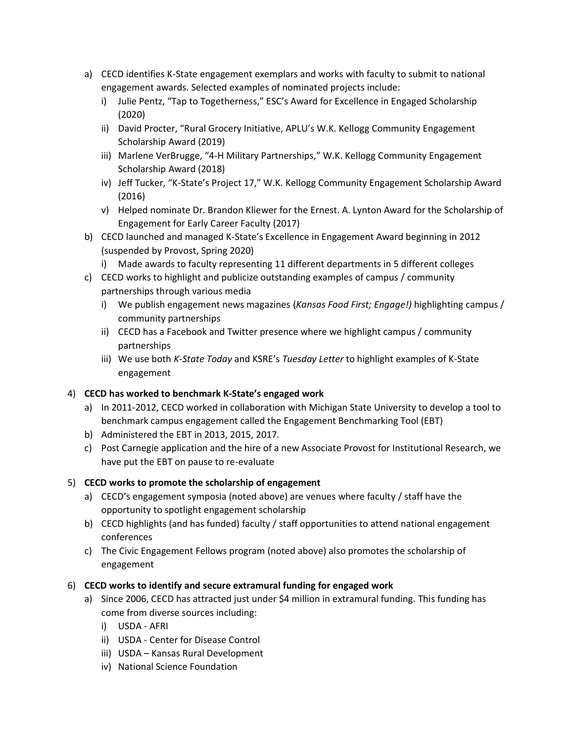- a) CECD identifies K-State engagement exemplars and works with faculty to submit to national engagement awards. Selected examples of nominated projects include:
	- i) Julie Pentz, "Tap to Togetherness," ESC's Award for Excellence in Engaged Scholarship (2020)
	- ii) David Procter, "Rural Grocery Initiative, APLU's W.K. Kellogg Community Engagement Scholarship Award (2019)
	- iii) Marlene VerBrugge, "4-H Military Partnerships," W.K. Kellogg Community Engagement Scholarship Award (2018)
	- iv) Jeff Tucker, "K-State's Project 17," W.K. Kellogg Community Engagement Scholarship Award (2016)
	- v) Helped nominate Dr. Brandon Kliewer for the Ernest. A. Lynton Award for the Scholarship of Engagement for Early Career Faculty (2017)
- b) CECD launched and managed K-State's Excellence in Engagement Award beginning in 2012 (suspended by Provost, Spring 2020)
	- i) Made awards to faculty representing 11 different departments in 5 different colleges
- c) CECD works to highlight and publicize outstanding examples of campus / community partnerships through various media
	- i) We publish engagement news magazines (*Kansas Food First; Engage!)* highlighting campus / community partnerships
	- ii) CECD has a Facebook and Twitter presence where we highlight campus / community partnerships
	- iii) We use both *K-State Today* and KSRE's *Tuesday Letter* to highlight examples of K-State engagement

#### 4) **CECD has worked to benchmark K-State's engaged work**

- a) In 2011-2012, CECD worked in collaboration with Michigan State University to develop a tool to benchmark campus engagement called the Engagement Benchmarking Tool (EBT)
- b) Administered the EBT in 2013, 2015, 2017.
- c) Post Carnegie application and the hire of a new Associate Provost for Institutional Research, we have put the EBT on pause to re-evaluate

#### 5) **CECD works to promote the scholarship of engagement**

- a) CECD's engagement symposia (noted above) are venues where faculty / staff have the opportunity to spotlight engagement scholarship
- b) CECD highlights (and has funded) faculty / staff opportunities to attend national engagement conferences
- c) The Civic Engagement Fellows program (noted above) also promotes the scholarship of engagement

#### 6) **CECD works to identify and secure extramural funding for engaged work**

- a) Since 2006, CECD has attracted just under \$4 million in extramural funding. This funding has come from diverse sources including:
	- i) USDA AFRI
	- ii) USDA Center for Disease Control
	- iii) USDA Kansas Rural Development
	- iv) National Science Foundation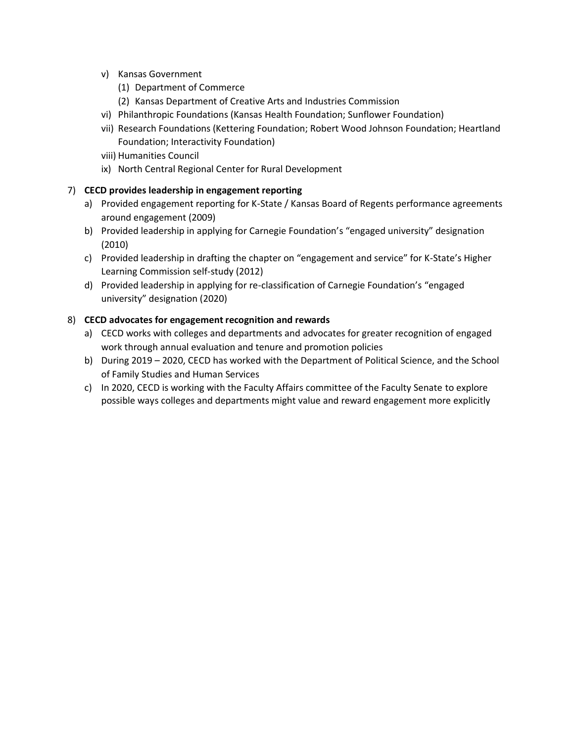- v) Kansas Government
	- (1) Department of Commerce
	- (2) Kansas Department of Creative Arts and Industries Commission
- vi) Philanthropic Foundations (Kansas Health Foundation; Sunflower Foundation)
- vii) Research Foundations (Kettering Foundation; Robert Wood Johnson Foundation; Heartland Foundation; Interactivity Foundation)
- viii) Humanities Council
- ix) North Central Regional Center for Rural Development

#### 7) **CECD provides leadership in engagement reporting**

- a) Provided engagement reporting for K-State / Kansas Board of Regents performance agreements around engagement (2009)
- b) Provided leadership in applying for Carnegie Foundation's "engaged university" designation (2010)
- c) Provided leadership in drafting the chapter on "engagement and service" for K-State's Higher Learning Commission self-study (2012)
- d) Provided leadership in applying for re-classification of Carnegie Foundation's "engaged university" designation (2020)

#### 8) **CECD advocates for engagement recognition and rewards**

- a) CECD works with colleges and departments and advocates for greater recognition of engaged work through annual evaluation and tenure and promotion policies
- b) During 2019 2020, CECD has worked with the Department of Political Science, and the School of Family Studies and Human Services
- c) In 2020, CECD is working with the Faculty Affairs committee of the Faculty Senate to explore possible ways colleges and departments might value and reward engagement more explicitly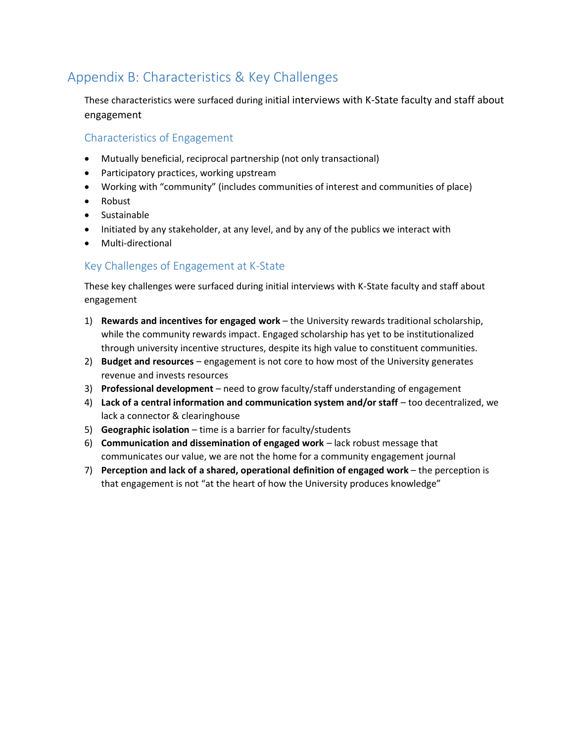## <span id="page-10-0"></span>Appendix B: Characteristics & Key Challenges

These characteristics were surfaced during initial interviews with K-State faculty and staff about engagement

### <span id="page-10-1"></span>Characteristics of Engagement

- Mutually beneficial, reciprocal partnership (not only transactional)
- Participatory practices, working upstream
- Working with "community" (includes communities of interest and communities of place)
- Robust
- Sustainable
- Initiated by any stakeholder, at any level, and by any of the publics we interact with
- Multi-directional

### <span id="page-10-2"></span>Key Challenges of Engagement at K-State

These key challenges were surfaced during initial interviews with K-State faculty and staff about engagement

- 1) **Rewards and incentives for engaged work** the University rewards traditional scholarship, while the community rewards impact. Engaged scholarship has yet to be institutionalized through university incentive structures, despite its high value to constituent communities.
- 2) **Budget and resources** engagement is not core to how most of the University generates revenue and invests resources
- 3) **Professional development** need to grow faculty/staff understanding of engagement
- 4) **Lack of a central information and communication system and/or staff** too decentralized, we lack a connector & clearinghouse
- 5) **Geographic isolation** time is a barrier for faculty/students
- 6) **Communication and dissemination of engaged work** lack robust message that communicates our value, we are not the home for a community engagement journal
- 7) **Perception and lack of a shared, operational definition of engaged work**  the perception is that engagement is not "at the heart of how the University produces knowledge"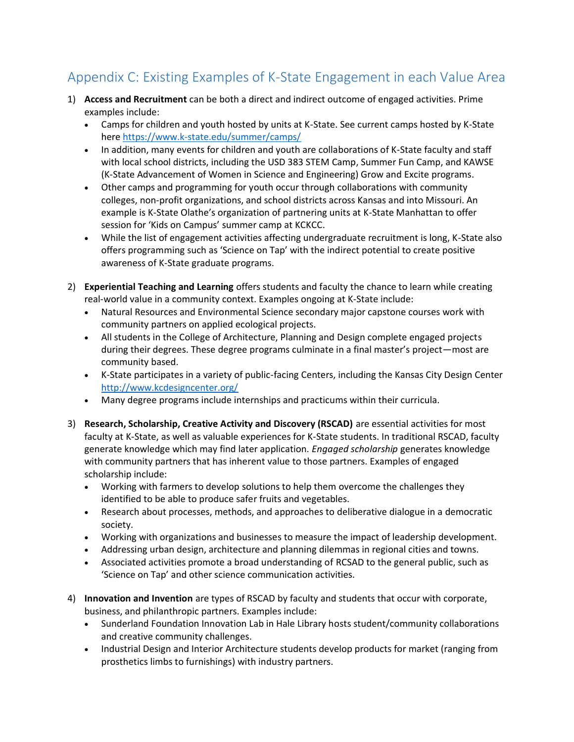# <span id="page-11-0"></span>Appendix C: Existing Examples of K-State Engagement in each Value Area

- 1) **Access and Recruitment** can be both a direct and indirect outcome of engaged activities. Prime examples include:
	- Camps for children and youth hosted by units at K-State. See current camps hosted by K-State here<https://www.k-state.edu/summer/camps/>
	- In addition, many events for children and youth are collaborations of K-State faculty and staff with local school districts, including the USD 383 STEM Camp, Summer Fun Camp, and KAWSE (K-State Advancement of Women in Science and Engineering) Grow and Excite programs.
	- Other camps and programming for youth occur through collaborations with community colleges, non-profit organizations, and school districts across Kansas and into Missouri. An example is K-State Olathe's organization of partnering units at K-State Manhattan to offer session for 'Kids on Campus' summer camp at KCKCC.
	- While the list of engagement activities affecting undergraduate recruitment is long, K-State also offers programming such as 'Science on Tap' with the indirect potential to create positive awareness of K-State graduate programs.
- 2) **Experiential Teaching and Learning** offers students and faculty the chance to learn while creating real-world value in a community context. Examples ongoing at K-State include:
	- Natural Resources and Environmental Science secondary major capstone courses work with community partners on applied ecological projects.
	- All students in the College of Architecture, Planning and Design complete engaged projects during their degrees. These degree programs culminate in a final master's project—most are community based.
	- K-State participates in a variety of public-facing Centers, including the Kansas City Design Center <http://www.kcdesigncenter.org/>
	- Many degree programs include internships and practicums within their curricula.
- 3) **Research, Scholarship, Creative Activity and Discovery (RSCAD)** are essential activities for most faculty at K-State, as well as valuable experiences for K-State students. In traditional RSCAD, faculty generate knowledge which may find later application. *Engaged scholarship* generates knowledge with community partners that has inherent value to those partners. Examples of engaged scholarship include:
	- Working with farmers to develop solutions to help them overcome the challenges they identified to be able to produce safer fruits and vegetables.
	- Research about processes, methods, and approaches to deliberative dialogue in a democratic society.
	- Working with organizations and businesses to measure the impact of leadership development.
	- Addressing urban design, architecture and planning dilemmas in regional cities and towns.
	- Associated activities promote a broad understanding of RCSAD to the general public, such as 'Science on Tap' and other science communication activities.
- 4) **Innovation and Invention** are types of RSCAD by faculty and students that occur with corporate, business, and philanthropic partners. Examples include:
	- Sunderland Foundation Innovation Lab in Hale Library hosts student/community collaborations and creative community challenges.
	- Industrial Design and Interior Architecture students develop products for market (ranging from prosthetics limbs to furnishings) with industry partners.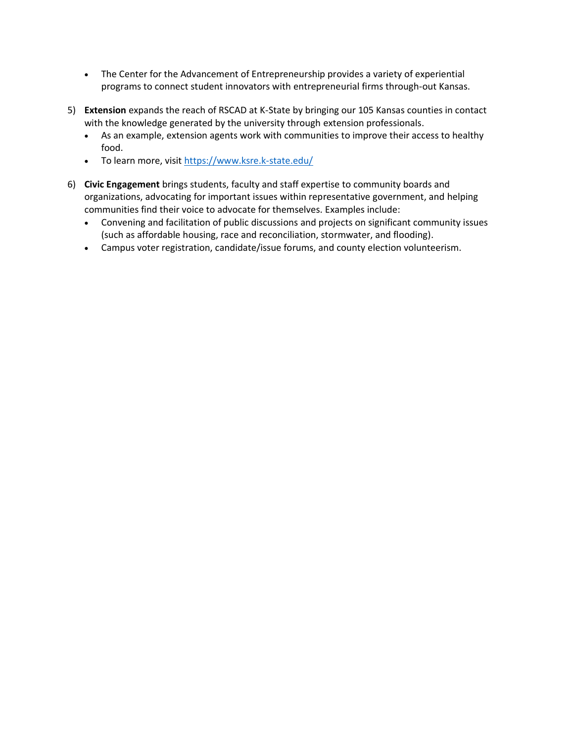- The Center for the Advancement of Entrepreneurship provides a variety of experiential programs to connect student innovators with entrepreneurial firms through-out Kansas.
- 5) **Extension** expands the reach of RSCAD at K-State by bringing our 105 Kansas counties in contact with the knowledge generated by the university through extension professionals.
	- As an example, extension agents work with communities to improve their access to healthy food.
	- To learn more, visit<https://www.ksre.k-state.edu/>
- 6) **Civic Engagement** brings students, faculty and staff expertise to community boards and organizations, advocating for important issues within representative government, and helping communities find their voice to advocate for themselves. Examples include:
	- Convening and facilitation of public discussions and projects on significant community issues (such as affordable housing, race and reconciliation, stormwater, and flooding).
	- Campus voter registration, candidate/issue forums, and county election volunteerism.